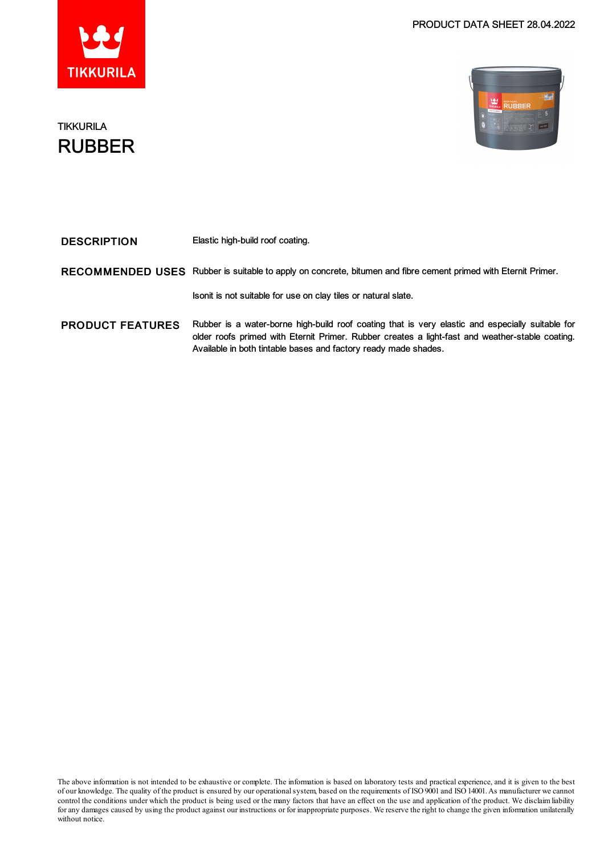



## TIKKURILA RUBBER

| <b>DESCRIPTION</b>      | Elastic high-build roof coating.                                                                                                                                                                                                                                       |
|-------------------------|------------------------------------------------------------------------------------------------------------------------------------------------------------------------------------------------------------------------------------------------------------------------|
|                         | RECOMMENDED USES Rubber is suitable to apply on concrete, bitumen and fibre cement primed with Eternit Primer.                                                                                                                                                         |
|                         | Isonit is not suitable for use on clay tiles or natural slate.                                                                                                                                                                                                         |
| <b>PRODUCT FEATURES</b> | Rubber is a water-borne high-build roof coating that is very elastic and especially suitable for<br>older roofs primed with Eternit Primer. Rubber creates a light-fast and weather-stable coating.<br>Available in both tintable bases and factory ready made shades. |

The above information is not intended to be exhaustive or complete. The information is based on laboratory tests and practical experience, and it is given to the best of our knowledge. The quality of the product is ensured by our operationalsystem, based on the requirements of ISO9001 and ISO14001.As manufacturer we cannot control the conditions under which the product is being used or the many factors that have an effect on the use and application of the product. We disclaimliability for any damages caused by using the product against our instructions or for inappropriate purposes. We reserve the right to change the given information unilaterally without notice.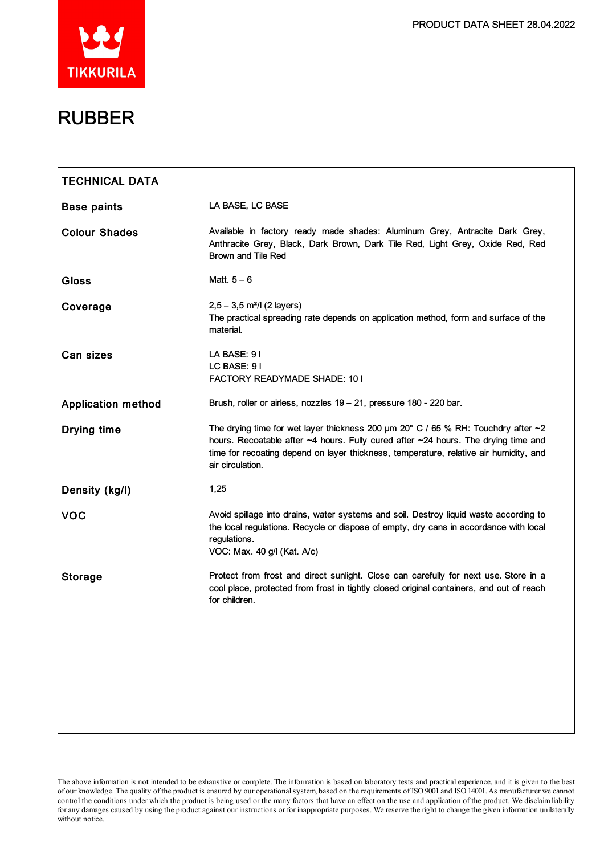

| <b>TECHNICAL DATA</b>     |                                                                                                                                                                                                                                                                                           |
|---------------------------|-------------------------------------------------------------------------------------------------------------------------------------------------------------------------------------------------------------------------------------------------------------------------------------------|
| <b>Base paints</b>        | LA BASE, LC BASE                                                                                                                                                                                                                                                                          |
| <b>Colour Shades</b>      | Available in factory ready made shades: Aluminum Grey, Antracite Dark Grey,<br>Anthracite Grey, Black, Dark Brown, Dark Tile Red, Light Grey, Oxide Red, Red<br><b>Brown and Tile Red</b>                                                                                                 |
| <b>Gloss</b>              | Matt. $5-6$                                                                                                                                                                                                                                                                               |
| Coverage                  | $2,5 - 3,5$ m <sup>2</sup> /l (2 layers)<br>The practical spreading rate depends on application method, form and surface of the<br>material.                                                                                                                                              |
| <b>Can sizes</b>          | LA BASE: 91<br>LC BASE: 91<br><b>FACTORY READYMADE SHADE: 101</b>                                                                                                                                                                                                                         |
| <b>Application method</b> | Brush, roller or airless, nozzles 19 - 21, pressure 180 - 220 bar.                                                                                                                                                                                                                        |
| <b>Drying time</b>        | The drying time for wet layer thickness 200 $\mu$ m 20° C / 65 % RH: Touchdry after ~2<br>hours. Recoatable after ~4 hours. Fully cured after ~24 hours. The drying time and<br>time for recoating depend on layer thickness, temperature, relative air humidity, and<br>air circulation. |
| Density (kg/l)            | 1,25                                                                                                                                                                                                                                                                                      |
| <b>VOC</b>                | Avoid spillage into drains, water systems and soil. Destroy liquid waste according to<br>the local regulations. Recycle or dispose of empty, dry cans in accordance with local<br>regulations.<br>VOC: Max. 40 g/l (Kat. A/c)                                                             |
| <b>Storage</b>            | Protect from frost and direct sunlight. Close can carefully for next use. Store in a<br>cool place, protected from frost in tightly closed original containers, and out of reach<br>for children.                                                                                         |
|                           |                                                                                                                                                                                                                                                                                           |

The above information is not intended to be exhaustive or complete. The information is based on laboratory tests and practical experience, and it is given to the best of our knowledge. The quality of the product is ensured by our operationalsystem, based on the requirements of ISO9001 and ISO14001.As manufacturer we cannot control the conditions under which the product is being used or the many factors that have an effect on the use and application of the product. We disclaimliability for any damages caused by using the product against our instructions or for inappropriate purposes. We reserve the right to change the given information unilaterally without notice.